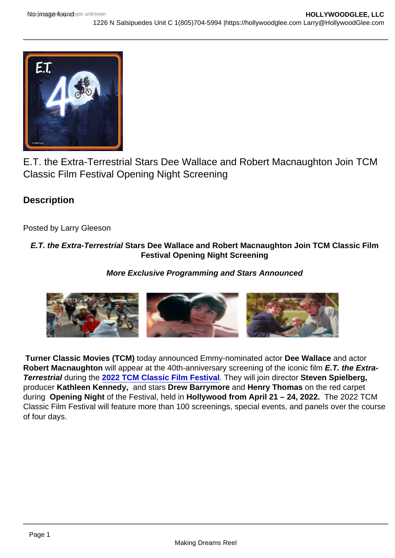## E.T. the Extra-Terrestrial Stars Dee Wallace and Robert Macnaughton Join TCM Classic Film Festival Opening Night Screening

**Description** 

Posted by Larry Gleeson

## E.T. the Extra-Terrestrial Stars Dee Wallace and Robert Macnaughton Join TCM Classic Film Festival Opening Night Screening

More Exclusive Programming and Stars Announced

Turner Classic Movies (TCM) today announced Emmy-nominated actor Dee Wallace and actor Robert Macnaughton will appear at the 40th-anniversary screening of the iconic film E.T. the Extra-Terrestrial during the [2022 TCM Classic Film Festival](https://filmfestival.tcm.com/) . They will join director Steven Spielberg, producer Kathleen Kennedy, and stars Drew Barrymore and Henry Thomas on the red carpet during Opening Night of the Festival, held in Hollywood from April 21 – 24, 2022. The 2022 TCM Classic Film Festival will feature more than 100 screenings, special events, and panels over the course of four days.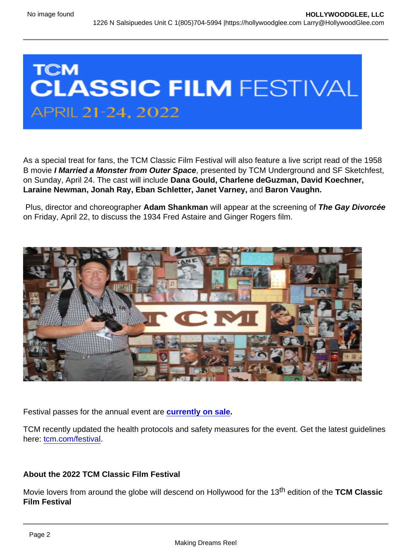As a special treat for fans, the TCM Classic Film Festival will also feature a live script read of the 1958 B movie I Married a Monster from Outer Space , presented by TCM Underground and SF Sketchfest, on Sunday, April 24. The cast will include Dana Gould, Charlene deGuzman, David Koechner, Laraine Newman, Jonah Ray, Eban Schletter, Janet Varney, and Baron Vaughn.

Plus, director and choreographer Adam Shankman will appear at the screening of The Gay Divorcée on Friday, April 22, to discuss the 1934 Fred Astaire and Ginger Rogers film.

Festival passes for the annual event are [currently on sale](https://filmfestival.tcm.com/attend/) .

TCM recently updated the health protocols and safety measures for the event. Get the latest guidelines here: [tcm.com/festival.](http://tcm.com/festival)

About the 2022 TCM Classic Film Festival

Movie lovers from around the globe will descend on Hollywood for the 13<sup>th</sup> edition of the TCM Classic Film Festival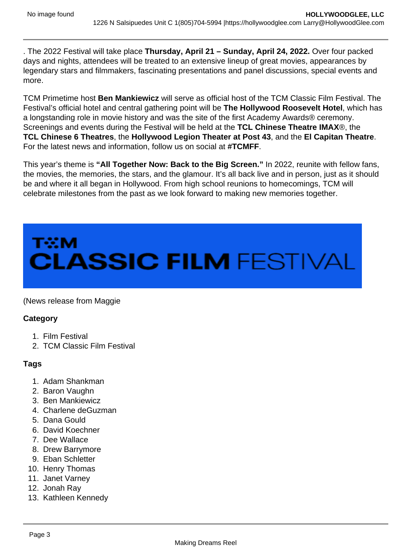. The 2022 Festival will take place Thursday, April 21 – Sunday, April 24, 2022. Over four packed days and nights, attendees will be treated to an extensive lineup of great movies, appearances by legendary stars and filmmakers, fascinating presentations and panel discussions, special events and more.

TCM Primetime host Ben Mankiewicz will serve as official host of the TCM Classic Film Festival. The Festival's official hotel and central gathering point will be The Hollywood Roosevelt Hotel , which has a longstanding role in movie history and was the site of the first Academy Awards® ceremony. Screenings and events during the Festival will be held at the TCL Chinese Theatre IMAX ®, the TCL Chinese 6 Theatres , the Hollywood Legion Theater at Post 43 , and the El Capitan Theatre . For the latest news and information, follow us on social at #TCMFF.

This year's theme is "All Together Now: Back to the Big Screen." In 2022, reunite with fellow fans, the movies, the memories, the stars, and the glamour. It's all back live and in person, just as it should be and where it all began in Hollywood. From high school reunions to homecomings, TCM will celebrate milestones from the past as we look forward to making new memories together.

## (News release from Maggie

**Category** 

- 1. Film Festival
- 2. TCM Classic Film Festival

Tags

- 1. Adam Shankman
- 2. Baron Vaughn
- 3. Ben Mankiewicz
- 4. Charlene deGuzman
- 5. Dana Gould
- 6. David Koechner
- 7. Dee Wallace
- 8. Drew Barrymore
- 9. Eban Schletter
- 10. Henry Thomas
- 11. Janet Varney
- 12. Jonah Ray
- 13. Kathleen Kennedy